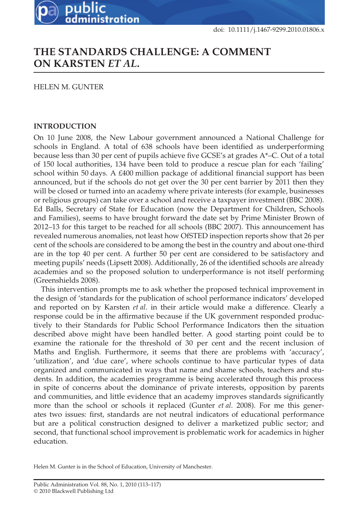# **THE STANDARDS CHALLENGE: A COMMENT ON KARSTEN** *ET AL***.**

HELEN M. GUNTER

public

administration

## **INTRODUCTION**

On 10 June 2008, the New Labour government announced a National Challenge for schools in England. A total of 638 schools have been identified as underperforming because less than 30 per cent of pupils achieve five GCSE's at grades A\*–C. Out of a total of 150 local authorities, 134 have been told to produce a rescue plan for each 'failing' school within 50 days. A £400 million package of additional financial support has been announced, but if the schools do not get over the 30 per cent barrier by 2011 then they will be closed or turned into an academy where private interests (for example, businesses or religious groups) can take over a school and receive a taxpayer investment (BBC 2008). Ed Balls, Secretary of State for Education (now the Department for Children, Schools and Families), seems to have brought forward the date set by Prime Minister Brown of 2012–13 for this target to be reached for all schools (BBC 2007). This announcement has revealed numerous anomalies, not least how OfSTED inspection reports show that 26 per cent of the schools are considered to be among the best in the country and about one-third are in the top 40 per cent. A further 50 per cent are considered to be satisfactory and meeting pupils' needs (Lipsett 2008). Additionally, 26 of the identified schools are already academies and so the proposed solution to underperformance is not itself performing (Greenshields 2008).

This intervention prompts me to ask whether the proposed technical improvement in the design of 'standards for the publication of school performance indicators' developed and reported on by Karsten *et al*. in their article would make a difference. Clearly a response could be in the affirmative because if the UK government responded productively to their Standards for Public School Performance Indicators then the situation described above might have been handled better. A good starting point could be to examine the rationale for the threshold of 30 per cent and the recent inclusion of Maths and English. Furthermore, it seems that there are problems with 'accuracy', 'utilization', and 'due care', where schools continue to have particular types of data organized and communicated in ways that name and shame schools, teachers and students. In addition, the academies programme is being accelerated through this process in spite of concerns about the dominance of private interests, opposition by parents and communities, and little evidence that an academy improves standards significantly more than the school or schools it replaced (Gunter *et al*. 2008). For me this generates two issues: first, standards are not neutral indicators of educational performance but are a political construction designed to deliver a marketized public sector; and second, that functional school improvement is problematic work for academics in higher education.

Helen M. Gunter is in the School of Education, University of Manchester.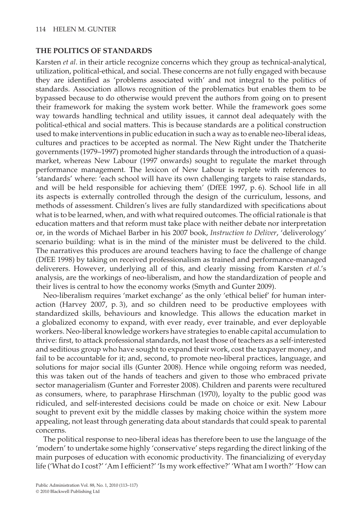### **THE POLITICS OF STANDARDS**

Karsten *et al*. in their article recognize concerns which they group as technical-analytical, utilization, political-ethical, and social. These concerns are not fully engaged with because they are identified as 'problems associated with' and not integral to the politics of standards. Association allows recognition of the problematics but enables them to be bypassed because to do otherwise would prevent the authors from going on to present their framework for making the system work better. While the framework goes some way towards handling technical and utility issues, it cannot deal adequately with the political-ethical and social matters. This is because standards are a political construction used to make interventions in public education in such a way as to enable neo-liberal ideas, cultures and practices to be accepted as normal. The New Right under the Thatcherite governments (1979–1997) promoted higher standards through the introduction of a quasimarket, whereas New Labour (1997 onwards) sought to regulate the market through performance management. The lexicon of New Labour is replete with references to 'standards' where: 'each school will have its own challenging targets to raise standards, and will be held responsible for achieving them' (DfEE 1997, p. 6). School life in all its aspects is externally controlled through the design of the curriculum, lessons, and methods of assessment. Children's lives are fully standardized with specifications about what is to be learned, when, and with what required outcomes. The official rationale is that education matters and that reform must take place with neither debate nor interpretation or, in the words of Michael Barber in his 2007 book, *Instruction to Deliver*, 'deliverology' scenario building: what is in the mind of the minister must be delivered to the child. The narratives this produces are around teachers having to face the challenge of change (DfEE 1998) by taking on received professionalism as trained and performance-managed deliverers. However, underlying all of this, and clearly missing from Karsten *et al*.'s analysis, are the workings of neo-liberalism, and how the standardization of people and their lives is central to how the economy works (Smyth and Gunter 2009).

Neo-liberalism requires 'market exchange' as the only 'ethical belief' for human interaction (Harvey 2007, p. 3), and so children need to be productive employees with standardized skills, behaviours and knowledge. This allows the education market in a globalized economy to expand, with ever ready, ever trainable, and ever deployable workers. Neo-liberal knowledge workers have strategies to enable capital accumulation to thrive: first, to attack professional standards, not least those of teachers as a self-interested and seditious group who have sought to expand their work, cost the taxpayer money, and fail to be accountable for it; and, second, to promote neo-liberal practices, language, and solutions for major social ills (Gunter 2008). Hence while ongoing reform was needed, this was taken out of the hands of teachers and given to those who embraced private sector managerialism (Gunter and Forrester 2008). Children and parents were recultured as consumers, where, to paraphrase Hirschman (1970), loyalty to the public good was ridiculed, and self-interested decisions could be made on choice or exit. New Labour sought to prevent exit by the middle classes by making choice within the system more appealing, not least through generating data about standards that could speak to parental concerns.

The political response to neo-liberal ideas has therefore been to use the language of the 'modern' to undertake some highly 'conservative' steps regarding the direct linking of the main purposes of education with economic productivity. The financializing of everyday life ('What do I cost?' 'Am I efficient?' 'Is my work effective?' 'What am I worth?' 'How can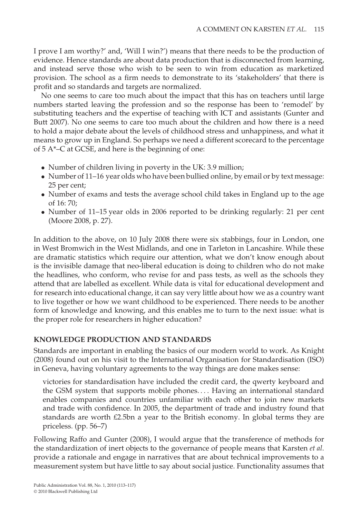I prove I am worthy?' and, 'Will I win?') means that there needs to be the production of evidence. Hence standards are about data production that is disconnected from learning, and instead serve those who wish to be seen to win from education as marketized provision. The school as a firm needs to demonstrate to its 'stakeholders' that there is profit and so standards and targets are normalized.

No one seems to care too much about the impact that this has on teachers until large numbers started leaving the profession and so the response has been to 'remodel' by substituting teachers and the expertise of teaching with ICT and assistants (Gunter and Butt 2007). No one seems to care too much about the children and how there is a need to hold a major debate about the levels of childhood stress and unhappiness, and what it means to grow up in England. So perhaps we need a different scorecard to the percentage of 5 A\*–C at GCSE, and here is the beginning of one:

- Number of children living in poverty in the UK: 3.9 million;
- Number of 11–16 year olds who have been bullied online, by email or by text message: 25 per cent;
- Number of exams and tests the average school child takes in England up to the age of 16: 70;
- Number of 11–15 year olds in 2006 reported to be drinking regularly: 21 per cent (Moore 2008, p. 27).

In addition to the above, on 10 July 2008 there were six stabbings, four in London, one in West Bromwich in the West Midlands, and one in Tarleton in Lancashire. While these are dramatic statistics which require our attention, what we don't know enough about is the invisible damage that neo-liberal education is doing to children who do not make the headlines, who conform, who revise for and pass tests, as well as the schools they attend that are labelled as excellent. While data is vital for educational development and for research into educational change, it can say very little about how we as a country want to live together or how we want childhood to be experienced. There needs to be another form of knowledge and knowing, and this enables me to turn to the next issue: what is the proper role for researchers in higher education?

## **KNOWLEDGE PRODUCTION AND STANDARDS**

Standards are important in enabling the basics of our modern world to work. As Knight (2008) found out on his visit to the International Organisation for Standardisation (ISO) in Geneva, having voluntary agreements to the way things are done makes sense:

victories for standardisation have included the credit card, the qwerty keyboard and the GSM system that supports mobile phones. *...* Having an international standard enables companies and countries unfamiliar with each other to join new markets and trade with confidence. In 2005, the department of trade and industry found that standards are worth £2.5bn a year to the British economy. In global terms they are priceless. (pp. 56–7)

Following Raffo and Gunter (2008), I would argue that the transference of methods for the standardization of inert objects to the governance of people means that Karsten *et al*. provide a rationale and engage in narratives that are about technical improvements to a measurement system but have little to say about social justice. Functionality assumes that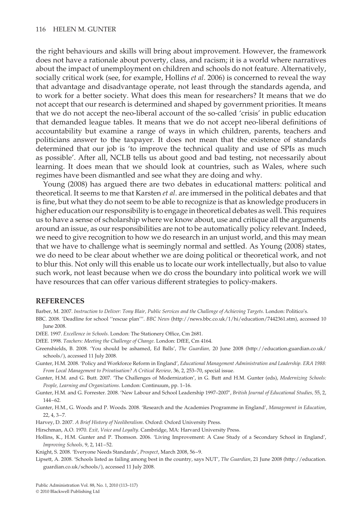the right behaviours and skills will bring about improvement. However, the framework does not have a rationale about poverty, class, and racism; it is a world where narratives about the impact of unemployment on children and schools do not feature. Alternatively, socially critical work (see, for example, Hollins *et al*. 2006) is concerned to reveal the way that advantage and disadvantage operate, not least through the standards agenda, and to work for a better society. What does this mean for researchers? It means that we do not accept that our research is determined and shaped by government priorities. It means that we do not accept the neo-liberal account of the so-called 'crisis' in public education that demanded league tables. It means that we do not accept neo-liberal definitions of accountability but examine a range of ways in which children, parents, teachers and politicians answer to the taxpayer. It does not mean that the existence of standards determined that our job is 'to improve the technical quality and use of SPIs as much as possible'. After all, NCLB tells us about good and bad testing, not necessarily about learning. It does mean that we should look at countries, such as Wales, where such regimes have been dismantled and see what they are doing and why.

Young (2008) has argued there are two debates in educational matters: political and theoretical. It seems to me that Karsten *et al*. are immersed in the political debates and that is fine, but what they do not seem to be able to recognize is that as knowledge producers in higher education our responsibility is to engage in theoretical debates as well. This requires us to have a sense of scholarship where we know about, use and critique all the arguments around an issue, as our responsibilities are not to be automatically policy relevant. Indeed, we need to give recognition to how we do research in an unjust world, and this may mean that we have to challenge what is seemingly normal and settled. As Young (2008) states, we do need to be clear about whether we are doing political or theoretical work, and not to blur this. Not only will this enable us to locate our work intellectually, but also to value such work, not least because when we do cross the boundary into political work we will have resources that can offer various different strategies to policy-makers.

#### **REFERENCES**

Barber, M. 2007. *Instruction to Deliver: Tony Blair, Public Services and the Challenge of Achieving Targets*. London: Politico's.

BBC. 2008. 'Deadline for school ''rescue plan'''. *BBC News* (http://news.bbc.co.uk/1/hi/education/7442361.stm), accessed 10 June 2008.

- DfEE. 1997. *Excellence in Schools*. London: The Stationery Office, Cm 2681.
- DfEE. 1998. *Teachers: Meeting the Challenge of Change*. London: DfEE, Cm 4164.
- Greenshields, B. 2008. 'You should be ashamed, Ed Balls', *The Guardian,* 20 June 2008 (http://education.guardian.co.uk/ schools/), accessed 11 July 2008.
- Gunter, H.M. 2008. 'Policy and Workforce Reform in England', *Educational Management Administration and Leadership. ERA 1988: From Local Management to Privatisation? A Critical Review,* 36, 2, 253–70, special issue.
- Gunter, H.M. and G. Butt. 2007. 'The Challenges of Modernization', in G. Butt and H.M. Gunter (eds), *Modernizing Schools: People, Learning and Organizations*. London: Continuum, pp. 1–16.
- Gunter, H.M. and G. Forrester. 2008. 'New Labour and School Leadership 1997–2007', *British Journal of Educational Studies,* 55, 2, 144–62.
- Gunter, H.M., G. Woods and P. Woods. 2008. 'Research and the Academies Programme in England', *Management in Education*, 22, 4, 3–7.
- Harvey, D. 2007. *A Brief History of Neoliberalism*. Oxford: Oxford University Press.
- Hirschman, A.O. 1970. *Exit, Voice and Loyalty*. Cambridge, MA: Harvard University Press.
- Hollins, K., H.M. Gunter and P. Thomson. 2006. 'Living Improvement: A Case Study of a Secondary School in England', *Improving Schools,* 9, 2, 141–52.
- Knight, S. 2008. 'Everyone Needs Standards', *Prospect*, March 2008, 56–9.
- Lipsett, A. 2008. 'Schools listed as failing among best in the country, says NUT', *The Guardian*, 21 June 2008 (http://education. guardian.co.uk/schools/), accessed 11 July 2008.